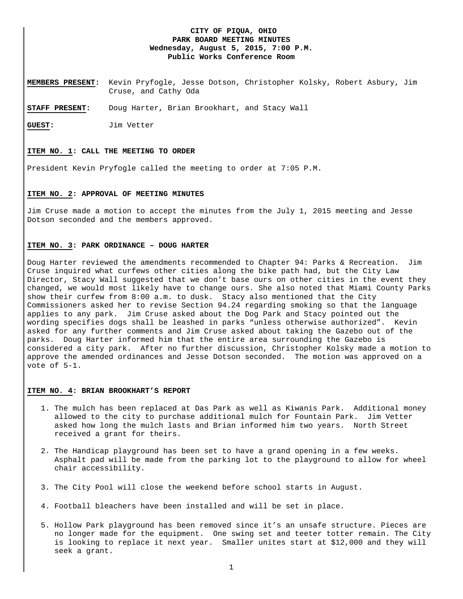## **CITY OF PIQUA, OHIO PARK BOARD MEETING MINUTES Wednesday, August 5, 2015, 7:00 P.M. Public Works Conference Room**

**MEMBERS PRESENT:** Kevin Pryfogle, Jesse Dotson, Christopher Kolsky, Robert Asbury, Jim Cruse, and Cathy Oda

**STAFF PRESENT:** Doug Harter, Brian Brookhart, and Stacy Wall

**GUEST:** Jim Vetter

#### **ITEM NO. 1: CALL THE MEETING TO ORDER**

President Kevin Pryfogle called the meeting to order at 7:05 P.M.

# **ITEM NO. 2: APPROVAL OF MEETING MINUTES**

Jim Cruse made a motion to accept the minutes from the July 1, 2015 meeting and Jesse Dotson seconded and the members approved.

### **ITEM NO. 3: PARK ORDINANCE – DOUG HARTER**

Doug Harter reviewed the amendments recommended to Chapter 94: Parks & Recreation. Jim Cruse inquired what curfews other cities along the bike path had, but the City Law Director, Stacy Wall suggested that we don't base ours on other cities in the event they changed, we would most likely have to change ours. She also noted that Miami County Parks show their curfew from 8:00 a.m. to dusk. Stacy also mentioned that the City Commissioners asked her to revise Section 94.24 regarding smoking so that the language applies to any park. Jim Cruse asked about the Dog Park and Stacy pointed out the wording specifies dogs shall be leashed in parks "unless otherwise authorized". Kevin asked for any further comments and Jim Cruse asked about taking the Gazebo out of the parks. Doug Harter informed him that the entire area surrounding the Gazebo is considered a city park. After no further discussion, Christopher Kolsky made a motion to approve the amended ordinances and Jesse Dotson seconded. The motion was approved on a vote of 5-1.

#### **ITEM NO. 4: BRIAN BROOKHART'S REPORT**

- 1. The mulch has been replaced at Das Park as well as Kiwanis Park. Additional money allowed to the city to purchase additional mulch for Fountain Park. Jim Vetter asked how long the mulch lasts and Brian informed him two years. North Street received a grant for theirs.
- 2. The Handicap playground has been set to have a grand opening in a few weeks. Asphalt pad will be made from the parking lot to the playground to allow for wheel chair accessibility.
- 3. The City Pool will close the weekend before school starts in August.
- 4. Football bleachers have been installed and will be set in place.
- 5. Hollow Park playground has been removed since it's an unsafe structure. Pieces are no longer made for the equipment. One swing set and teeter totter remain. The City is looking to replace it next year. Smaller unites start at \$12,000 and they will seek a grant.